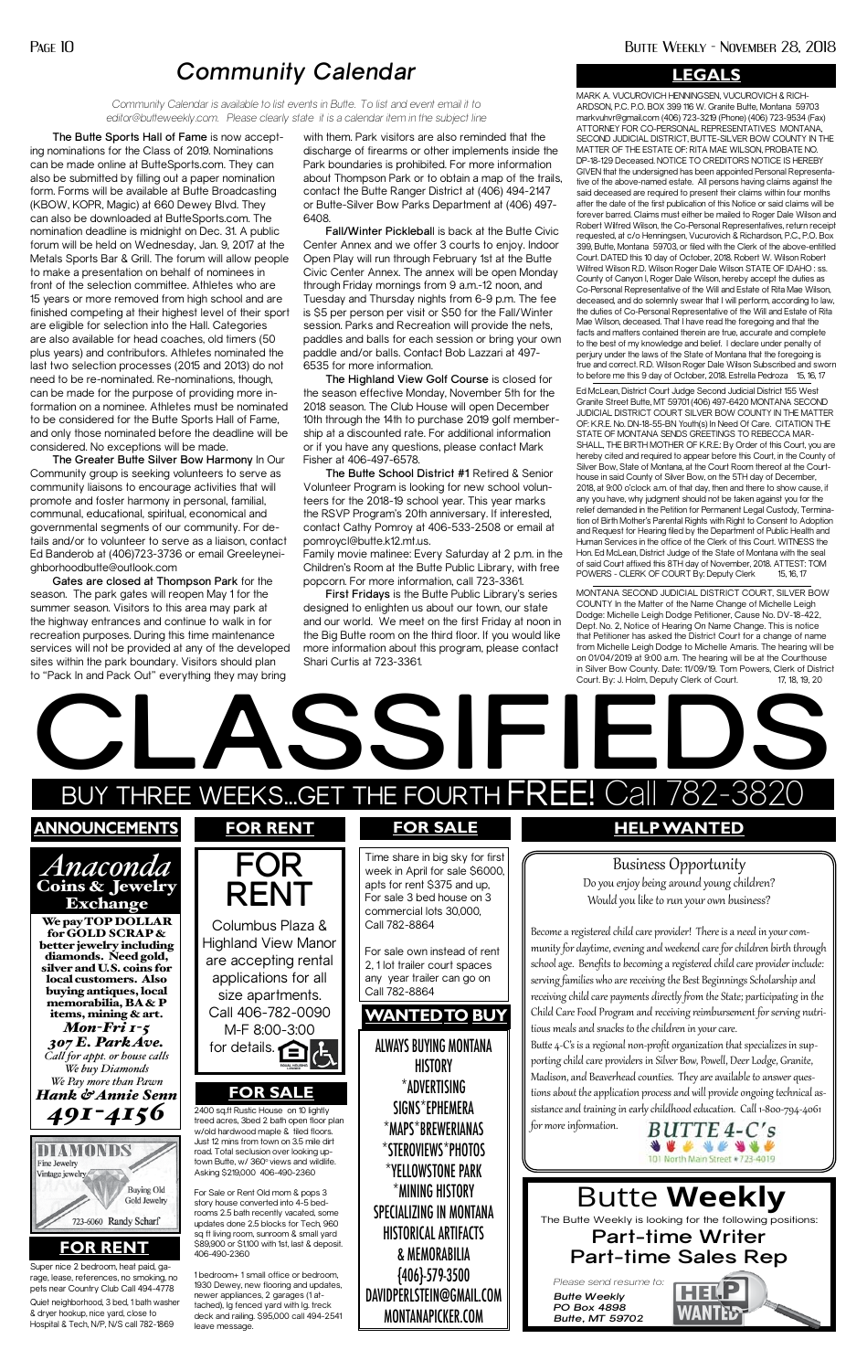The Butte Weekly is looking for the following positions:

## **Part-time Writer Part-time Sales Rep**

*Please send resume to:*

*Butte Weekly PO Box 4898 Butte, MT 59702*

# Butte **Weekly**

**The Butte Sports Hall of Fame** is now accepting nominations for the Class of 2019. Nominations can be made online at ButteSports.com. They can also be submitted by filling out a paper nomination form. Forms will be available at Butte Broadcasting (KBOW, KOPR, Magic) at 660 Dewey Blvd. They can also be downloaded at ButteSports.com. The nomination deadline is midnight on Dec. 31. A public forum will be held on Wednesday, Jan. 9, 2017 at the Metals Sports Bar & Grill. The forum will allow people to make a presentation on behalf of nominees in front of the selection committee. Athletes who are 15 years or more removed from high school and are finished competing at their highest level of their sport are eligible for selection into the Hall. Categories are also available for head coaches, old timers (50 plus years) and contributors. Athletes nominated the last two selection processes (2015 and 2013) do not need to be re-nominated. Re-nominations, though, can be made for the purpose of providing more information on a nominee. Athletes must be nominated to be considered for the Butte Sports Hall of Fame, and only those nominated before the deadline will be considered. No exceptions will be made.

**The Greater Butte Silver Bow Harmony** In Our Community group is seeking volunteers to serve as community liaisons to encourage activities that will promote and foster harmony in personal, familial, communal, educational, spiritual, economical and governmental segments of our community. For details and/or to volunteer to serve as a liaison, contact Ed Banderob at (406)723-3736 or email Greeleyneighborhoodbutte@outlook.com

**Gates are closed at Thompson Park** for the season. The park gates will reopen May 1 for the summer season. Visitors to this area may park at the highway entrances and continue to walk in for recreation purposes. During this time maintenance services will not be provided at any of the developed sites within the park boundary. Visitors should plan to "Pack In and Pack Out" everything they may bring

with them. Park visitors are also reminded that the discharge of firearms or other implements inside the Park boundaries is prohibited. For more information about Thompson Park or to obtain a map of the trails, contact the Butte Ranger District at (406) 494-2147 or Butte-Silver Bow Parks Department at (406) 497- 6408.

**Fall/Winter Picklebal**l is back at the Butte Civic Center Annex and we offer 3 courts to enjoy. Indoor Open Play will run through February 1st at the Butte Civic Center Annex. The annex will be open Monday through Friday mornings from 9 a.m.-12 noon, and Tuesday and Thursday nights from 6-9 p.m. The fee is \$5 per person per visit or \$50 for the Fall/Winter session. Parks and Recreation will provide the nets, paddles and balls for each session or bring your own paddle and/or balls. Contact Bob Lazzari at 497- 6535 for more information.

> Ed McLean, District Court Judge Second Judicial District 155 West Granite Street Butte, MT 59701 (406) 497-6420 MONTANA SECOND JUDICIAL DISTRICT COURT SILVER BOW COUNTY IN THE MATTER OF: K.R.E. No. DN-18-55-BN Youth(s) In Need Of Care. CITATION THE STATE OF MONTANA SENDS GREETINGS TO REBECCA MAR-SHALL, THE BIRTH MOTHER OF K.R.E.: By Order of this Court, you are hereby cited and required to appear before this Court, in the County of Silver Bow, State of Montana, at the Court Room thereof at the Courthouse in said County of Silver Bow, on the 5TH day of December, 2018, at 9:00 o'clock a.m. of that day, then and there to show cause, if any you have, why judgment should not be taken against you for the relief demanded in the Petition for Permanent Legal Custody, Termination of Birth Mother's Parental Rights with Right to Consent to Adoption and Request for Hearing filed by the Department of Public Health and Human Services in the office of the Clerk of this Court. WITNESS the Hon. Ed McLean, District Judge of the State of Montana with the seal of said Court affixed this 8TH day of November, 2018. ATTEST: TOM POWERS - CLERK OF COURT By: Deputy Clerk 15, 16, 17

**The Highland View Golf Course** is closed for the season effective Monday, November 5th for the 2018 season. The Club House will open December 10th through the 14th to purchase 2019 golf membership at a discounted rate. For additional information or if you have any questions, please contact Mark Fisher at 406-497-6578.

**The Butte School District #1** Retired & Senior Volunteer Program is looking for new school volunteers for the 2018-19 school year. This year marks the RSVP Program's 20th anniversary. If interested, contact Cathy Pomroy at 406-533-2508 or email at pomroycl@butte.k12.mt.us.

Family movie matinee: Every Saturday at 2 p.m. in the Children's Room at the Butte Public Library, with free popcorn. For more information, call 723-3361.

> **HISTORY** \*ADVERTISING SIGNS\*EPHEMERA \*MAPS\*BREWERIANAS \*STEROVIEWS\*PHOTOS \*YELLOWSTONE PARK \*MINING HISTORY SPECIALIZING IN MONTANA HISTORICAL ARTIFACTS & MEMORABILIA {406}-579-3500 DAVIDPERLSTEIN@GMAIL.COM

**First Fridays** is the Butte Public Library's series designed to enlighten us about our town, our state and our world. We meet on the first Friday at noon in the Big Butte room on the third floor. If you would like more information about this program, please contact Shari Curtis at 723-3361.

# *Community Calendar*

*Community Calendar is available to list events in Butte. To list and event email it to editor@butteweekly.com. Please clearly state it is a calendar item in the subject line* MARK A. VUCUROVICH HENNINGSEN, VUCUROVICH & RICH-ARDSON, P.C. P.O. BOX 399 116 W. Granite Butte, Montana 59703 markvuhvr@gmail.com (406) 723-3219 (Phone) (406) 723-9534 (Fax) ATTORNEY FOR CO-PERSONAL REPRESENTATIVES MONTANA, SECOND JUDICIAL DISTRICT, BUTTE-SILVER BOW COUNTY IN THE MATTER OF THE ESTATE OF: RITA MAE WILSON, PROBATE NO. DP-18-129 Deceased. NOTICE TO CREDITORS NOTICE IS HEREBY GIVEN that the undersigned has been appointed Personal Representative of the above-named estate. All persons having claims against the said deceased are required to present their claims within four months after the date of the first publication of this Notice or said claims will be forever barred. Claims must either be mailed to Roger Dale Wilson and Robert Wilfred Wilson, the Co-Personal Representatives, return receipt requested, at c/o Henningsen, Vucurovich & Richardson, P.C., P.O. Box 399, Butte, Montana 59703, or filed with the Clerk of the above-entitled Court. DATED this 10 day of October, 2018. Robert W. Wilson Robert Wilfred Wilson R.D. Wilson Roger Dale Wilson STATE OF IDAHO : ss. County of Canyon I, Roger Dale Wilson, hereby accept the duties as Co-Personal Representative of the Will and Estate of Rita Mae Wilson, deceased, and do solemnly swear that I will perform, according to law, the duties of Co-Personal Representative of the Will and Estate of Rita Mae Wilson, deceased. That I have read the foregoing and that the facts and matters contained therein are true, accurate and complete to the best of my knowledge and belief. I declare under penalty of perjury under the laws of the State of Montana that the foregoing is true and correct. R.D. Wilson Roger Dale Wilson Subscribed and sworn to before me this 9 day of October, 2018. Estrella Pedroza 15, 16, 17

*We buy Diamonds We Pay more than Pawn Hank & Annie Senn 491-4156*



MONTANAPICKER.COM

#### **FOR RENT**

### **FOR SALE**

2400 sq.ft Rustic House on 10 lightly treed acres, 3bed 2 bath open floor plan w/old hardwood maple & tiled floors. Just 12 mins from town on 3.5 mile dirt road. Total seclusion over looking uptown Butte, w/ 360° views and wildlife. Asking \$219,000 406-490-2360

Quiet neighborhood, 3 bed, 1 bath washer & dryer hookup, nice yard, close to Hospital & Tech, N/P, N/S call 782-1869 Super nice 2 bedroom, heat paid, garage, lease, references, no smoking, no pets near Country Club Call 494-4778

For Sale or Rent Old mom & pops 3 story house converted into 4-5 bedrooms 2.5 bath recently vacated, some updates done 2.5 blocks for Tech, 960 sq ft living room, sunroom & small yard \$89,900 or \$1,100 with 1st, last & deposit. 406-490-2360



1 bedroom+ 1 small office or bedroom, 1930 Dewey, new flooring and updates, newer appliances, 2 garages (1 attached), lg fenced yard with lg. treck deck and railing. \$95,000 call 494-2541 leave message.

Madison, and Beaverhead counties. They are available to answer questions about the application process and will provide ongoing technical assistance and training in early childhood education. Call 1-800-794-4061

for more information.



WANTED

#### **LEGALS**

MONTANA SECOND JUDICIAL DISTRICT COURT, SILVER BOW COUNTY In the Matter of the Name Change of Michelle Leigh Dodge: Michelle Leigh Dodge Petitioner, Cause No. DV-18-422, Dept. No. 2, Notice of Hearing On Name Change. This is notice that Petitioner has asked the District Court for a change of name from Michelle Leigh Dodge to Michelle Amaris. The hearing will be on 01/04/2019 at 9:00 a.m. The hearing will be at the Courthouse in Silver Bow County. Date: 11/09/19. Tom Powers, Clerk of District Court. By: J. Holm, Deputy Clerk of Court. 17, 18, 19, 20